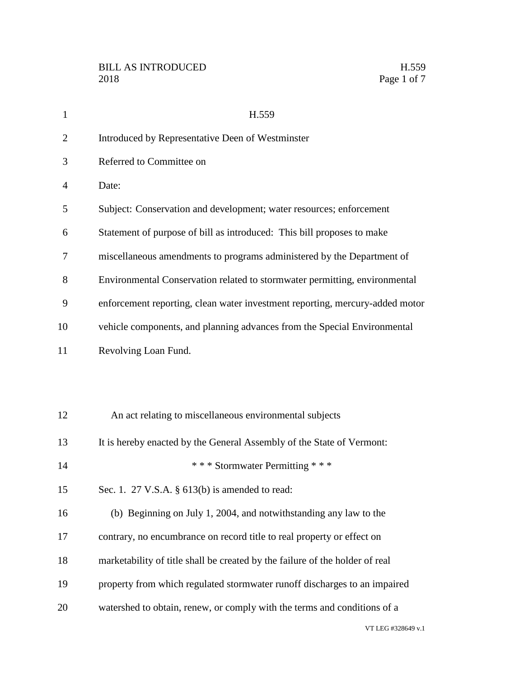| $\mathbf{1}$   | H.559                                                                        |
|----------------|------------------------------------------------------------------------------|
| $\overline{2}$ | Introduced by Representative Deen of Westminster                             |
| 3              | Referred to Committee on                                                     |
| $\overline{4}$ | Date:                                                                        |
| 5              | Subject: Conservation and development; water resources; enforcement          |
| 6              | Statement of purpose of bill as introduced: This bill proposes to make       |
| 7              | miscellaneous amendments to programs administered by the Department of       |
| 8              | Environmental Conservation related to stormwater permitting, environmental   |
| 9              | enforcement reporting, clean water investment reporting, mercury-added motor |
| 10             | vehicle components, and planning advances from the Special Environmental     |
| 11             | Revolving Loan Fund.                                                         |
|                |                                                                              |
|                |                                                                              |
| 12             | An act relating to miscellaneous environmental subjects                      |
| 13             | It is hereby enacted by the General Assembly of the State of Vermont:        |
| 14             | *** Stormwater Permitting ***                                                |
| 15             | Sec. 1. 27 V.S.A. § 613(b) is amended to read:                               |
| 16             | (b) Beginning on July 1, 2004, and notwithstanding any law to the            |
| 17             | contrary, no encumbrance on record title to real property or effect on       |
| 18             | marketability of title shall be created by the failure of the holder of real |
| 19             | property from which regulated stormwater runoff discharges to an impaired    |
| 20             | watershed to obtain, renew, or comply with the terms and conditions of a     |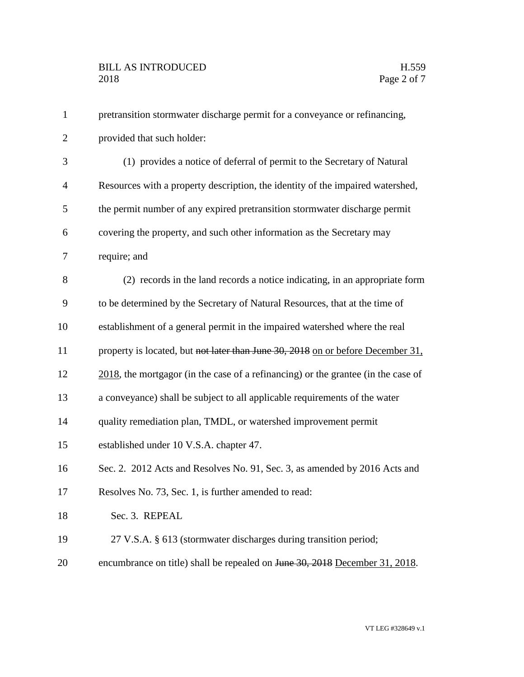| $\mathbf{1}$   | pretransition stormwater discharge permit for a conveyance or refinancing,           |
|----------------|--------------------------------------------------------------------------------------|
| $\overline{2}$ | provided that such holder:                                                           |
| 3              | (1) provides a notice of deferral of permit to the Secretary of Natural              |
| $\overline{4}$ | Resources with a property description, the identity of the impaired watershed,       |
| 5              | the permit number of any expired pretransition stormwater discharge permit           |
| 6              | covering the property, and such other information as the Secretary may               |
| 7              | require; and                                                                         |
| 8              | (2) records in the land records a notice indicating, in an appropriate form          |
| 9              | to be determined by the Secretary of Natural Resources, that at the time of          |
| 10             | establishment of a general permit in the impaired watershed where the real           |
| 11             | property is located, but not later than June 30, 2018 on or before December 31,      |
| 12             | $2018$ , the mortgagor (in the case of a refinancing) or the grantee (in the case of |
| 13             | a conveyance) shall be subject to all applicable requirements of the water           |
| 14             | quality remediation plan, TMDL, or watershed improvement permit                      |
| 15             | established under 10 V.S.A. chapter 47.                                              |
| 16             | Sec. 2. 2012 Acts and Resolves No. 91, Sec. 3, as amended by 2016 Acts and           |
| 17             | Resolves No. 73, Sec. 1, is further amended to read:                                 |
| 18             | Sec. 3. REPEAL                                                                       |
| 19             | 27 V.S.A. § 613 (stormwater discharges during transition period;                     |
| 20             | encumbrance on title) shall be repealed on June 30, 2018 December 31, 2018.          |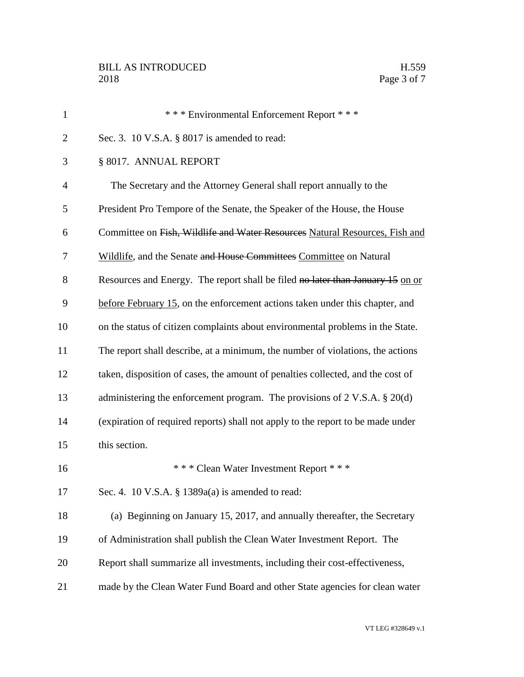| $\mathbf{1}$   | *** Environmental Enforcement Report ***                                              |
|----------------|---------------------------------------------------------------------------------------|
| $\overline{2}$ | Sec. 3. 10 V.S.A. § 8017 is amended to read:                                          |
| 3              | § 8017. ANNUAL REPORT                                                                 |
| $\overline{4}$ | The Secretary and the Attorney General shall report annually to the                   |
| 5              | President Pro Tempore of the Senate, the Speaker of the House, the House              |
| 6              | Committee on Fish, Wildlife and Water Resources Natural Resources, Fish and           |
| 7              | Wildlife, and the Senate and House Committees Committee on Natural                    |
| 8              | Resources and Energy. The report shall be filed no later than January 15 on or        |
| 9              | before February 15, on the enforcement actions taken under this chapter, and          |
| 10             | on the status of citizen complaints about environmental problems in the State.        |
| 11             | The report shall describe, at a minimum, the number of violations, the actions        |
| 12             | taken, disposition of cases, the amount of penalties collected, and the cost of       |
| 13             | administering the enforcement program. The provisions of $2 \text{ V.S.A.} \$ $20(d)$ |
| 14             | (expiration of required reports) shall not apply to the report to be made under       |
| 15             | this section.                                                                         |
| 16             | * * * Clean Water Investment Report * * *                                             |
| 17             | Sec. 4. 10 V.S.A. § 1389a(a) is amended to read:                                      |
| 18             | (a) Beginning on January 15, 2017, and annually thereafter, the Secretary             |
| 19             | of Administration shall publish the Clean Water Investment Report. The                |
| 20             | Report shall summarize all investments, including their cost-effectiveness,           |
| 21             | made by the Clean Water Fund Board and other State agencies for clean water           |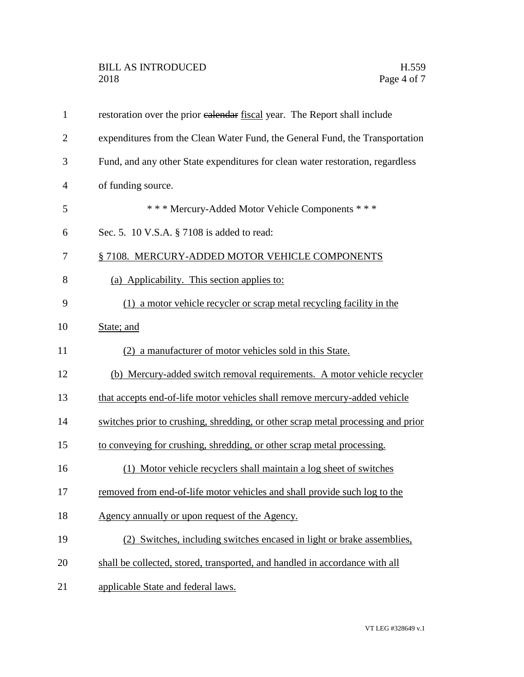| 1              | restoration over the prior ealendar fiscal year. The Report shall include        |
|----------------|----------------------------------------------------------------------------------|
| $\overline{2}$ | expenditures from the Clean Water Fund, the General Fund, the Transportation     |
| 3              | Fund, and any other State expenditures for clean water restoration, regardless   |
| 4              | of funding source.                                                               |
| 5              | *** Mercury-Added Motor Vehicle Components ***                                   |
| 6              | Sec. 5. 10 V.S.A. § 7108 is added to read:                                       |
| 7              | § 7108. MERCURY-ADDED MOTOR VEHICLE COMPONENTS                                   |
| 8              | (a) Applicability. This section applies to:                                      |
| 9              | (1) a motor vehicle recycler or scrap metal recycling facility in the            |
| 10             | State; and                                                                       |
| 11             | (2) a manufacturer of motor vehicles sold in this State.                         |
| 12             | (b) Mercury-added switch removal requirements. A motor vehicle recycler          |
| 13             | that accepts end-of-life motor vehicles shall remove mercury-added vehicle       |
| 14             | switches prior to crushing, shredding, or other scrap metal processing and prior |
| 15             | to conveying for crushing, shredding, or other scrap metal processing.           |
| 16             | (1) Motor vehicle recyclers shall maintain a log sheet of switches               |
| 17             | removed from end-of-life motor vehicles and shall provide such log to the        |
| 18             | Agency annually or upon request of the Agency.                                   |
| 19             | (2) Switches, including switches encased in light or brake assemblies,           |
| 20             | shall be collected, stored, transported, and handled in accordance with all      |
| 21             | applicable State and federal laws.                                               |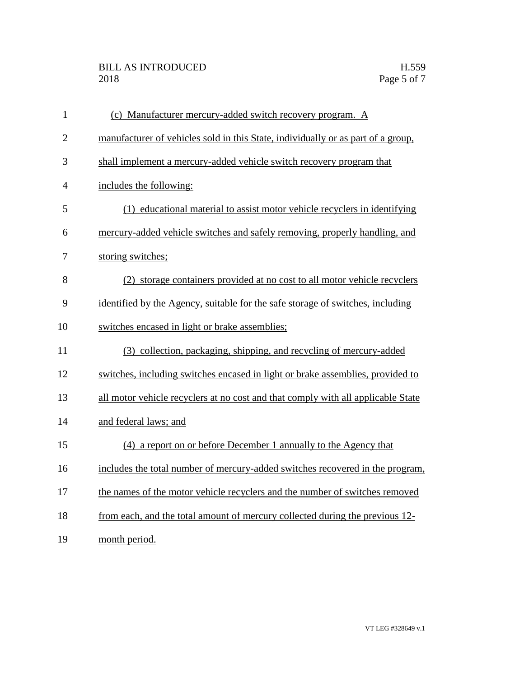## BILL AS INTRODUCED H.559 2018 Page 5 of 7

| $\mathbf{1}$   | (c) Manufacturer mercury-added switch recovery program. A                        |
|----------------|----------------------------------------------------------------------------------|
| $\overline{2}$ | manufacturer of vehicles sold in this State, individually or as part of a group, |
| 3              | shall implement a mercury-added vehicle switch recovery program that             |
| $\overline{4}$ | includes the following:                                                          |
| 5              | (1) educational material to assist motor vehicle recyclers in identifying        |
| 6              | mercury-added vehicle switches and safely removing, properly handling, and       |
| 7              | storing switches;                                                                |
| 8              | (2) storage containers provided at no cost to all motor vehicle recyclers        |
| 9              | identified by the Agency, suitable for the safe storage of switches, including   |
| 10             | switches encased in light or brake assemblies;                                   |
| 11             | (3) collection, packaging, shipping, and recycling of mercury-added              |
| 12             | switches, including switches encased in light or brake assemblies, provided to   |
| 13             | all motor vehicle recyclers at no cost and that comply with all applicable State |
| 14             | and federal laws; and                                                            |
| 15             | (4) a report on or before December 1 annually to the Agency that                 |
| 16             | includes the total number of mercury-added switches recovered in the program,    |
| 17             | the names of the motor vehicle recyclers and the number of switches removed      |
| 18             | from each, and the total amount of mercury collected during the previous 12-     |
| 19             | month period.                                                                    |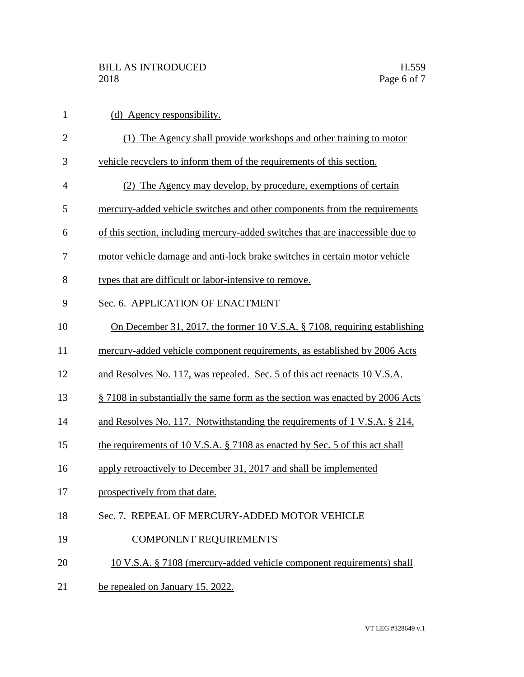| $\mathbf{1}$   | (d) Agency responsibility.                                                     |
|----------------|--------------------------------------------------------------------------------|
| $\overline{2}$ | (1) The Agency shall provide workshops and other training to motor             |
| 3              | vehicle recyclers to inform them of the requirements of this section.          |
| $\overline{4}$ | (2) The Agency may develop, by procedure, exemptions of certain                |
| 5              | mercury-added vehicle switches and other components from the requirements      |
| 6              | of this section, including mercury-added switches that are inaccessible due to |
| 7              | motor vehicle damage and anti-lock brake switches in certain motor vehicle     |
| 8              | types that are difficult or labor-intensive to remove.                         |
| 9              | Sec. 6. APPLICATION OF ENACTMENT                                               |
| 10             | On December 31, 2017, the former 10 V.S.A. § 7108, requiring establishing      |
| 11             | mercury-added vehicle component requirements, as established by 2006 Acts      |
| 12             | and Resolves No. 117, was repealed. Sec. 5 of this act reenacts 10 V.S.A.      |
| 13             | § 7108 in substantially the same form as the section was enacted by 2006 Acts  |
| 14             | and Resolves No. 117. Notwithstanding the requirements of 1 V.S.A. § 214,      |
| 15             | the requirements of 10 V.S.A. § 7108 as enacted by Sec. 5 of this act shall    |
| 16             | apply retroactively to December 31, 2017 and shall be implemented              |
| 17             | prospectively from that date.                                                  |
| 18             | Sec. 7. REPEAL OF MERCURY-ADDED MOTOR VEHICLE                                  |
| 19             | <b>COMPONENT REQUIREMENTS</b>                                                  |
| 20             | 10 V.S.A. § 7108 (mercury-added vehicle component requirements) shall          |
| 21             | be repealed on January 15, 2022.                                               |
|                |                                                                                |